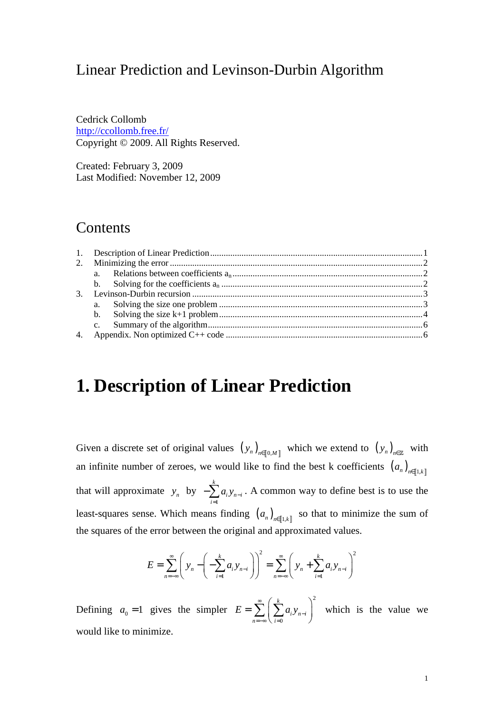# Linear Prediction and Levinson-Durbin Algorithm

Cedrick Collomb http://ccollomb.free.fr/ Copyright © 2009. All Rights Reserved.

Created: February 3, 2009 Last Modified: November 12, 2009

## **Contents**

# **1. Description of Linear Prediction**

Given a discrete set of original values  $(y_n)_{n \in [0,M]}$  which we extend to  $(y_n)_{n \in \mathbb{Z}}$  with an infinite number of zeroes, we would like to find the best k coefficients  $(a_n)_{n \in [1,k]}$ that will approximate  $y_n$  by 1 *k i n i i*  $a_i y_{n-1}$ =  $-\sum_{i=1}^{n} a_i y_{n-i}$ . A common way to define best is to use the least-squares sense. Which means finding  $(a_n)_{n \in [1,k]}$  so that to minimize the sum of the squares of the error between the original and approximated values.

$$
E = \sum_{n=-\infty}^{\infty} \left( y_n - \left( - \sum_{i=1}^{k} a_i y_{n-i} \right) \right)^2 = \sum_{n=-\infty}^{\infty} \left( y_n + \sum_{i=1}^{k} a_i y_{n-i} \right)^2
$$

Defining  $a_0 = 1$  gives the simpler 2 0 *k i n i n* = –∞ \ *i*  $E = \sum |\sum a_i y_i$ ∞ − =−∞ \ *i* =  $=\sum_{n=-\infty}^{\infty} \left(\sum_{i=0}^{k} a_i y_{n-i}\right)^2$  which is the value we would like to minimize.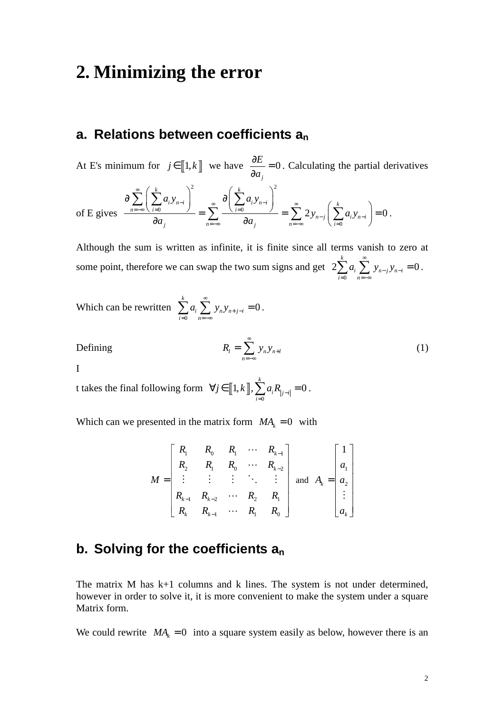# **2. Minimizing the error**

# **a. Relations between coefficients a<sup>n</sup>**

At E's minimum for  $j \in [1, k]$  we have  $\frac{0.25}{2} = 0$ *j E a*  $\frac{\partial E}{\partial z}$  = ∂ . Calculating the partial derivatives

of E gives 
$$
\frac{\partial \sum_{n=-\infty}^{\infty} \left( \sum_{i=0}^{k} a_i y_{n-i} \right)^2}{\partial a_j} = \sum_{n=-\infty}^{\infty} \frac{\partial \left( \sum_{i=0}^{k} a_i y_{n-i} \right)^2}{\partial a_j} = \sum_{n=-\infty}^{\infty} 2y_{n-j} \left( \sum_{i=0}^{k} a_i y_{n-i} \right) = 0.
$$

Although the sum is written as infinite, it is finite since all terms vanish to zero at some point, therefore we can swap the two sum signs and get 0  $2\sum a_i \sum y_{n-i} y_{n-i} = 0$ *k i*  $\sum$   $y_{n-j}$   $y_{n-i}$ *i n*  $a_i \sum y_{n-i} y_i$ ∞  $-j \mathcal{Y}$ n- $= 0$   $n = -\infty$  $\sum_{i=1}^{k} a_i \sum_{i=1}^{k} y_{n-i} y_{n-i} = 0$ .

Which can be rewritten 
$$
\sum_{i=0}^{k} a_i \sum_{n=-\infty}^{\infty} y_n y_{n+j-i} = 0.
$$

$$
R_l = \sum_{n=-\infty}^{\infty} y_n y_{n+l} \tag{1}
$$

I

Defining *l n n l*

t takes the final following form  $\forall j \in [\![1, k]\!], \sum_{i=0}^{\infty}$  $1, k \|, \sum a_i R_{i-i} = 0$ *k*  $j \in [1, k], \sum_{i=0}^{\infty} a_i R_{i}$  $\forall j \in [1, k], \sum_{i=1}^{k} a_i R_{|j-i|} = 0$ .

Which can we presented in the matrix form  $MA_k = 0$  with

$$
M = \begin{bmatrix} R_1 & R_0 & R_1 & \cdots & R_{k-1} \\ R_2 & R_1 & R_0 & \cdots & R_{k-2} \\ \vdots & \vdots & \vdots & \ddots & \vdots \\ R_{k-1} & R_{k-2} & \cdots & R_2 & R_1 \\ R_k & R_{k-1} & \cdots & R_1 & R_0 \end{bmatrix} \text{ and } A_k = \begin{bmatrix} 1 \\ a_1 \\ a_2 \\ \vdots \\ a_k \end{bmatrix}
$$

## **b. Solving for the coefficients a<sup>n</sup>**

The matrix M has k+1 columns and k lines. The system is not under determined, however in order to solve it, it is more convenient to make the system under a square Matrix form.

We could rewrite  $MA_k = 0$  into a square system easily as below, however there is an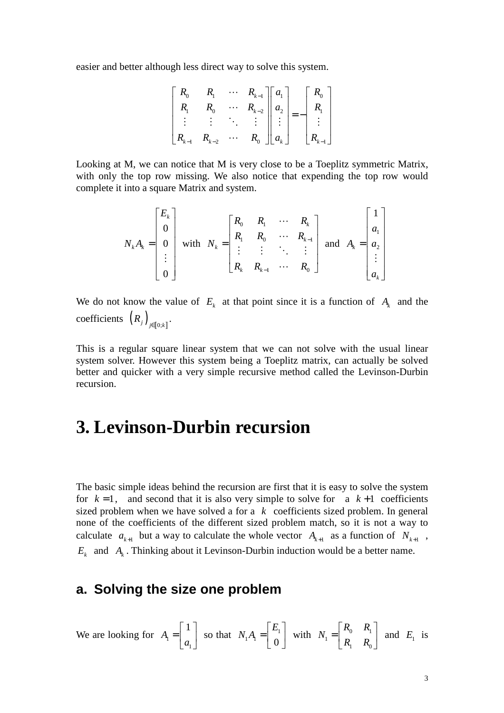easier and better although less direct way to solve this system.

$$
\begin{bmatrix} R_0 & R_1 & \cdots & R_{k-1} \\ R_1 & R_0 & \cdots & R_{k-2} \\ \vdots & \vdots & \ddots & \vdots \\ R_{k-1} & R_{k-2} & \cdots & R_0 \end{bmatrix} \begin{bmatrix} a_1 \\ a_2 \\ \vdots \\ a_k \end{bmatrix} = - \begin{bmatrix} R_0 \\ R_1 \\ \vdots \\ R_{k-1} \end{bmatrix}
$$

Looking at M, we can notice that M is very close to be a Toeplitz symmetric Matrix, with only the top row missing. We also notice that expending the top row would complete it into a square Matrix and system.

$$
N_{k}A_{k} = \begin{bmatrix} E_{k} \\ 0 \\ 0 \\ \vdots \\ 0 \end{bmatrix} \text{ with } N_{k} = \begin{bmatrix} R_{0} & R_{1} & \cdots & R_{k} \\ R_{1} & R_{0} & \cdots & R_{k-1} \\ \vdots & \vdots & \ddots & \vdots \\ R_{k} & R_{k-1} & \cdots & R_{0} \end{bmatrix} \text{ and } A_{k} = \begin{bmatrix} 1 \\ a_{1} \\ a_{2} \\ \vdots \\ a_{k} \end{bmatrix}
$$

We do not know the value of  $E_k$  at that point since it is a function of  $A_k$  and the coefficients  $(R_j)_{j \in [0;k]}$ .

This is a regular square linear system that we can not solve with the usual linear system solver. However this system being a Toeplitz matrix, can actually be solved better and quicker with a very simple recursive method called the Levinson-Durbin recursion.

# **3. Levinson-Durbin recursion**

The basic simple ideas behind the recursion are first that it is easy to solve the system for  $k = 1$ , and second that it is also very simple to solve for a  $k+1$  coefficients sized problem when we have solved a for a *k* coefficients sized problem. In general none of the coefficients of the different sized problem match, so it is not a way to calculate  $a_{k+1}$  but a way to calculate the whole vector  $A_{k+1}$  as a function of  $N_{k+1}$ ,  $E_k$  and  $A_k$ . Thinking about it Levinson-Durbin induction would be a better name.

### **a. Solving the size one problem**

We are looking for  $A_1$ 1 1 *A a*  $\lceil 1 \rceil$  $=\begin{bmatrix} 1 \\ a_1 \end{bmatrix}$  so that  $N_1A_1 = \begin{bmatrix} 1 \\ 0 \end{bmatrix}$  $1^{11}$  0  $N_1A_1 = \begin{bmatrix} E_1 \ \vdots \end{bmatrix}$  $N_1 = \begin{bmatrix} R_0 & R_1 \\ 0 & R_1 \end{bmatrix}$  with  $N_1 = \begin{bmatrix} R_0 & R_1 \\ R_1 & R_0 \end{bmatrix}$  $\mathbf{1}$   $\mathbf{1}$   $\mathbf{0}$  $R_0$  *R N*  $R_{\scriptscriptstyle\perp}$  *R*  $\begin{bmatrix} R_0 & R_1 \end{bmatrix}$  $=\begin{bmatrix} 1 & 1 \\ R_1 & R_0 \end{bmatrix}$  and  $E_1$  is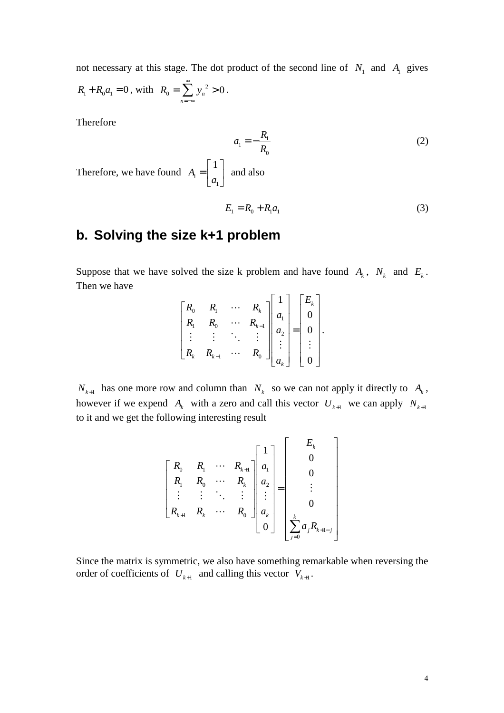not necessary at this stage. The dot product of the second line of  $N_1$  and  $A_1$  gives  $R_1 + R_0 a_1 = 0$ , with  $R_0 = \sum y_n^2 > 0$ *n*  $R_0 = \sum y$ ∞ =−∞  $=\sum_{n=1}^{\infty} y_n^2 > 0$ .

Therefore

$$
a_1 = -\frac{R_1}{R_0} \tag{2}
$$

Therefore, we have found  $A_1$ 1 1 *A a*  $\lceil 1 \rceil$  $=\begin{bmatrix} 1 \\ a_1 \end{bmatrix}$  and also

$$
E_1 = R_0 + R_1 a_1 \tag{3}
$$

## **b. Solving the size k+1 problem**

Suppose that we have solved the size k problem and have found  $A_k$ ,  $N_k$  and  $E_k$ . Then we have

|                      | $R_{i}$   |                             |                                |  |                                                                                                                   |  |
|----------------------|-----------|-----------------------------|--------------------------------|--|-------------------------------------------------------------------------------------------------------------------|--|
|                      |           |                             | $R_k$<br>$R_{k-1}$<br>$\vdots$ |  | $\begin{bmatrix} 1 \\ a_1 \\ a_2 \\ \vdots \end{bmatrix} = \begin{bmatrix} E_k \\ 0 \\ 0 \\ \vdots \end{bmatrix}$ |  |
| $\ddot{\phantom{0}}$ |           | $\mathcal{L}_{\mathcal{L}}$ |                                |  | $\Box$                                                                                                            |  |
|                      | $R_{k-1}$ |                             |                                |  |                                                                                                                   |  |
|                      |           |                             |                                |  | $\overline{0}$                                                                                                    |  |

 $N_{k+1}$  has one more row and column than  $N_k$  so we can not apply it directly to  $A_k$ , however if we expend  $A_k$  with a zero and call this vector  $U_{k+1}$  we can apply  $N_{k+1}$ to it and we get the following interesting result

$$
\begin{bmatrix} R_0 & R_1 & \cdots & R_{k+1} \\ R_1 & R_0 & \cdots & R_k \\ \vdots & \vdots & \ddots & \vdots \\ R_{k+1} & R_k & \cdots & R_0 \end{bmatrix} \begin{bmatrix} 1 \\ a_1 \\ a_2 \\ \vdots \\ a_k \\ 0 \end{bmatrix} = \begin{bmatrix} E_k \\ 0 \\ 0 \\ \vdots \\ 0 \\ E_k \\ \sum_{j=0}^k a_j R_{k+1-j} \end{bmatrix}
$$

Since the matrix is symmetric, we also have something remarkable when reversing the order of coefficients of  $U_{k+1}$  and calling this vector  $V_{k+1}$ .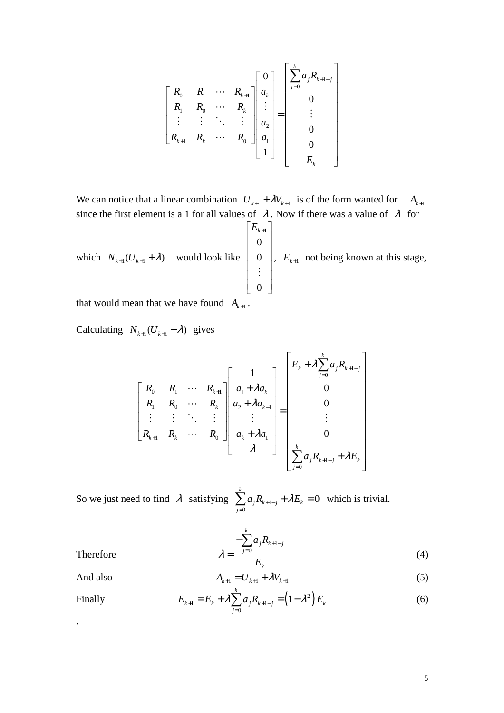$$
\begin{bmatrix} R_0 & R_1 & \cdots & R_{k+1} \\ R_1 & R_0 & \cdots & R_k \\ \vdots & \vdots & \ddots & \vdots \\ R_{k+1} & R_k & \cdots & R_0 \end{bmatrix} \begin{bmatrix} 0 \\ a_k \\ \vdots \\ a_2 \\ a_1 \\ 1 \end{bmatrix} = \begin{bmatrix} \sum_{j=0}^k a_j R_{k+1-j} \\ 0 \\ \vdots \\ 0 \\ 0 \\ E_k \end{bmatrix}
$$

We can notice that a linear combination  $U_{k+1} + \lambda V_{k+1}$  is of the form wanted for  $A_{k+1}$ since the first element is a 1 for all values of  $\lambda$ . Now if there was a value of  $\lambda$  for which  $N_{k+1} (U_{k+1} + \lambda)$  would look like  $\left\lceil \mathit{E}_{\scriptscriptstyle{k+1}} \right\rceil$ 0 0 0  $\begin{bmatrix} 1 & 1 \\ 0 & 1 \end{bmatrix}$  $\begin{bmatrix} 0 \\ 1 \end{bmatrix}$   $\vert \cdot \vert$  $|\cdot|$  $\begin{bmatrix} 0 \end{bmatrix}$ ⋮  $E_{k+1}$  not being known at this stage,

that would mean that we have found  $A_{k+1}$ .

Calculating  $N_{k+1} (U_{k+1} + \lambda)$  gives

$$
\begin{bmatrix} R_0 & R_1 & \cdots & R_{k+1} \\ R_1 & R_0 & \cdots & R_k \\ \vdots & \vdots & \ddots & \vdots \\ R_{k+1} & R_k & \cdots & R_0 \end{bmatrix} \begin{bmatrix} 1 \\ a_1 + \lambda a_k \\ a_2 + \lambda a_{k-1} \\ \vdots \\ a_k + \lambda a_1 \\ \lambda \end{bmatrix} = \begin{bmatrix} E_k + \lambda \sum_{j=0}^k a_j R_{k+1-j} \\ 0 \\ 0 \\ \vdots \\ 0 \\ \sum_{j=0}^k a_j R_{k+1-j} + \lambda E_k \end{bmatrix}
$$

So we just need to find  $\lambda$  satisfying  $\sum a_j R_{k+1}$  $\mathbf{0}$ 0 *k*  $j^{I_k}$ <sub>k+1-j</sub>  $\cdots$ *j*  $a_{i}R_{k+1-j} + \lambda E$ =  $\sum_{k=1}^{8} a_{j} R_{k+1-j} + \lambda E_{k} = 0$  which is trivial.

$$
\lambda = \frac{-\sum_{j=0}^{k} a_j R_{k+1-j}}{E_k} \tag{4}
$$

Therefore

And also 
$$
A_{k+1} = U_{k+1} + \lambda V_{k+1}
$$
 (5)

Finally 
$$
E_{k+1} = E_k + \lambda \sum_{j=0}^{k} a_j R_{k+1-j} = (1 - \lambda^2) E_k
$$
 (6)

.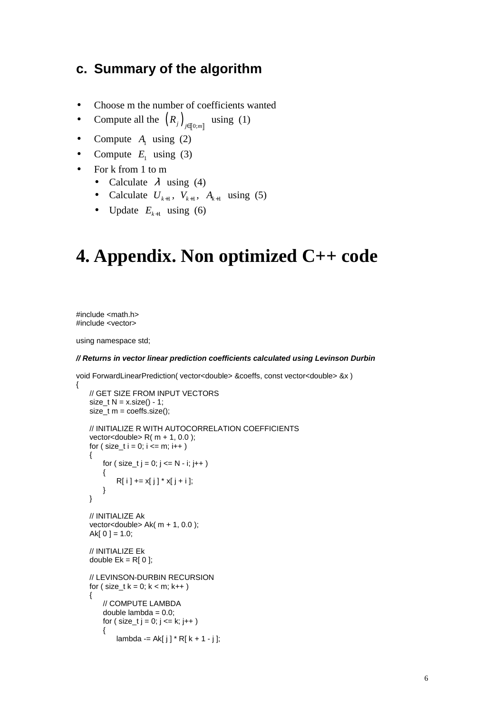### **c. Summary of the algorithm**

- Choose m the number of coefficients wanted
- Compute all the  $(R_j)_{j \in [0; m]}$ using  $(1)$
- Compute  $A_1$  using (2)
- Compute  $E_1$  using (3)
- For k from 1 to m
	- Calculate  $\lambda$  using (4)
	- Calculate  $U_{k+1}$ ,  $V_{k+1}$ ,  $A_{k+1}$  using (5)
	- Update  $E_{k+1}$  using (6)

# **4. Appendix. Non optimized C++ code**

#include <math.h> #include <vector>

{

using namespace std;

#### **// Returns in vector linear prediction coefficients calculated using Levinson Durbin**

void ForwardLinearPrediction( vector<double> &coeffs, const vector<double> &x )

```
 // GET SIZE FROM INPUT VECTORS 
size_t N = x.size() - 1; size_t m = coeffs.size(); 
 // INITIALIZE R WITH AUTOCORRELATION COEFFICIENTS 
vector<double>R(m + 1, 0.0);
for ( size_t i = 0; i \le m; i++) { 
    for ( size_t i = 0; i \le N - i; i++) { 
        R[i] += x[j]' * x[j + i];
     } 
 } 
 // INITIALIZE Ak 
 vector<double> Ak( m + 1, 0.0 ); 
Ak[0] = 1.0; // INITIALIZE Ek 
double Ek = R[0];
 // LEVINSON-DURBIN RECURSION 
for (size_t k = 0; k < m; k++ )
 { 
     // COMPUTE LAMBDA 
    double lambda = 0.0;
    for ( size_t j = 0; j <= k; j++ )
     { 
        lambda = AK[i] * R[k + 1 - i];
```